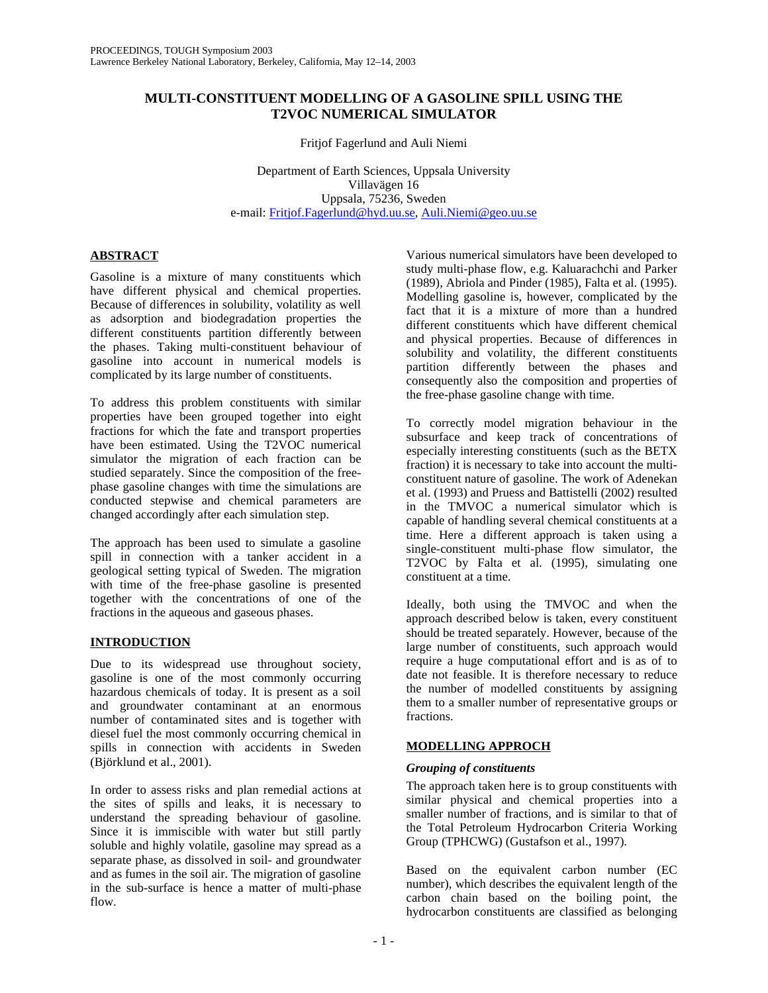## **MULTI-CONSTITUENT MODELLING OF A GASOLINE SPILL USING THE T2VOC NUMERICAL SIMULATOR**

Fritjof Fagerlund and Auli Niemi

Department of Earth Sciences, Uppsala University Villavägen 16 Uppsala, 75236, Sweden e-mail: Fritjof.Fagerlund@hyd.uu.se, Auli.Niemi@geo.uu.se

# **ABSTRACT**

Gasoline is a mixture of many constituents which have different physical and chemical properties. Because of differences in solubility, volatility as well as adsorption and biodegradation properties the different constituents partition differently between the phases. Taking multi-constituent behaviour of gasoline into account in numerical models is complicated by its large number of constituents.

To address this problem constituents with similar properties have been grouped together into eight fractions for which the fate and transport properties have been estimated. Using the T2VOC numerical simulator the migration of each fraction can be studied separately. Since the composition of the freephase gasoline changes with time the simulations are conducted stepwise and chemical parameters are changed accordingly after each simulation step.

The approach has been used to simulate a gasoline spill in connection with a tanker accident in a geological setting typical of Sweden. The migration with time of the free-phase gasoline is presented together with the concentrations of one of the fractions in the aqueous and gaseous phases.

## **INTRODUCTION**

Due to its widespread use throughout society, gasoline is one of the most commonly occurring hazardous chemicals of today. It is present as a soil and groundwater contaminant at an enormous number of contaminated sites and is together with diesel fuel the most commonly occurring chemical in spills in connection with accidents in Sweden (Björklund et al., 2001).

In order to assess risks and plan remedial actions at the sites of spills and leaks, it is necessary to understand the spreading behaviour of gasoline. Since it is immiscible with water but still partly soluble and highly volatile, gasoline may spread as a separate phase, as dissolved in soil- and groundwater and as fumes in the soil air. The migration of gasoline in the sub-surface is hence a matter of multi-phase flow.

Various numerical simulators have been developed to study multi-phase flow, e.g. Kaluarachchi and Parker (1989), Abriola and Pinder (1985), Falta et al. (1995). Modelling gasoline is, however, complicated by the fact that it is a mixture of more than a hundred different constituents which have different chemical and physical properties. Because of differences in solubility and volatility, the different constituents partition differently between the phases and consequently also the composition and properties of the free-phase gasoline change with time.

To correctly model migration behaviour in the subsurface and keep track of concentrations of especially interesting constituents (such as the BETX fraction) it is necessary to take into account the multiconstituent nature of gasoline. The work of Adenekan et al. (1993) and Pruess and Battistelli (2002) resulted in the TMVOC a numerical simulator which is capable of handling several chemical constituents at a time. Here a different approach is taken using a single-constituent multi-phase flow simulator, the T2VOC by Falta et al. (1995), simulating one constituent at a time.

Ideally, both using the TMVOC and when the approach described below is taken, every constituent should be treated separately. However, because of the large number of constituents, such approach would require a huge computational effort and is as of to date not feasible. It is therefore necessary to reduce the number of modelled constituents by assigning them to a smaller number of representative groups or fractions.

## **MODELLING APPROCH**

## *Grouping of constituents*

The approach taken here is to group constituents with similar physical and chemical properties into a smaller number of fractions, and is similar to that of the Total Petroleum Hydrocarbon Criteria Working Group (TPHCWG) (Gustafson et al., 1997).

Based on the equivalent carbon number (EC number), which describes the equivalent length of the carbon chain based on the boiling point, the hydrocarbon constituents are classified as belonging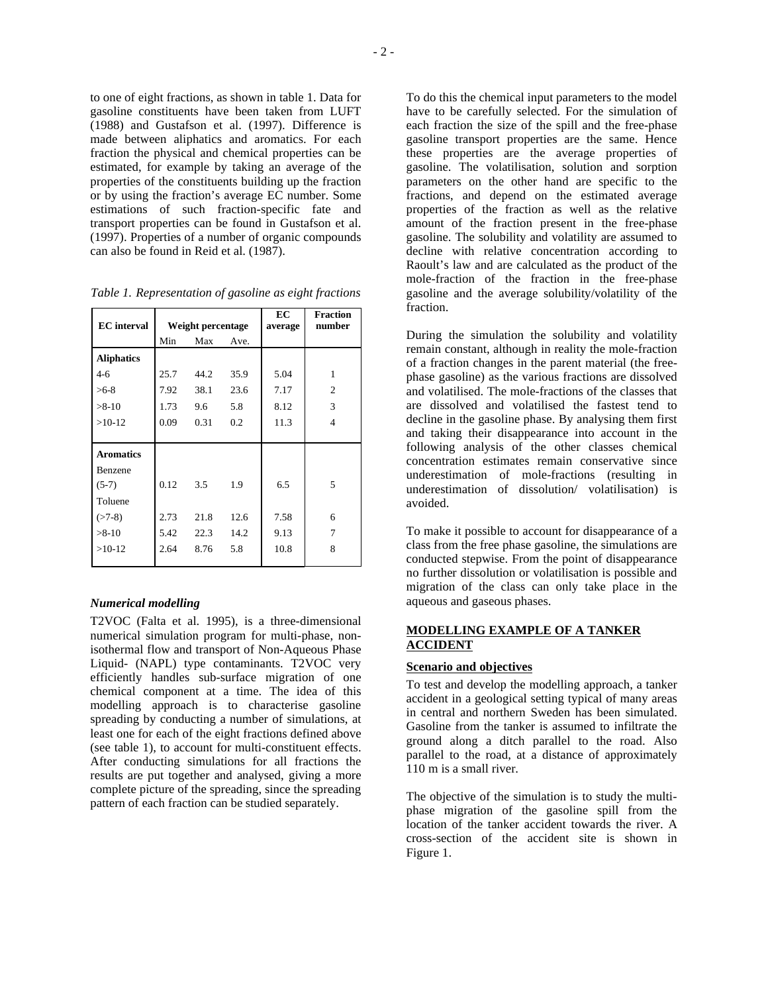to one of eight fractions, as shown in table 1. Data for gasoline constituents have been taken from LUFT (1988) and Gustafson et al. (1997). Difference is made between aliphatics and aromatics. For each fraction the physical and chemical properties can be estimated, for example by taking an average of the properties of the constituents building up the fraction or by using the fraction's average EC number. Some estimations of such fraction-specific fate and transport properties can be found in Gustafson et al. (1997). Properties of a number of organic compounds can also be found in Reid et al. (1987).

| <b>EC</b> interval | Weight percentage |      | EC<br>average | <b>Fraction</b><br>number |                |
|--------------------|-------------------|------|---------------|---------------------------|----------------|
|                    | Min               | Max  | Ave.          |                           |                |
| <b>Aliphatics</b>  |                   |      |               |                           |                |
| $4-6$              | 25.7              | 44.2 | 35.9          | 5.04                      | 1              |
| $>6-8$             | 7.92              | 38.1 | 23.6          | 7.17                      | $\overline{2}$ |
| $>8-10$            | 1.73              | 9.6  | 5.8           | 8.12                      | 3              |
| $>10-12$           | 0.09              | 0.31 | 0.2           | 11.3                      | 4              |
|                    |                   |      |               |                           |                |
| <b>Aromatics</b>   |                   |      |               |                           |                |
| Benzene            |                   |      |               |                           |                |
| $(5-7)$            | 0.12              | 3.5  | 1.9           | 6.5                       | 5              |
| Toluene            |                   |      |               |                           |                |
| $( > 7-8)$         | 2.73              | 21.8 | 12.6          | 7.58                      | 6              |
| $>8-10$            | 5.42              | 22.3 | 14.2          | 9.13                      | 7              |
| $>10-12$           | 2.64              | 8.76 | 5.8           | 10.8                      | 8              |
|                    |                   |      |               |                           |                |

*Table 1. Representation of gasoline as eight fractions* 

### *Numerical modelling*

T2VOC (Falta et al. 1995), is a three-dimensional numerical simulation program for multi-phase, nonisothermal flow and transport of Non-Aqueous Phase Liquid- (NAPL) type contaminants. T2VOC very efficiently handles sub-surface migration of one chemical component at a time. The idea of this modelling approach is to characterise gasoline spreading by conducting a number of simulations, at least one for each of the eight fractions defined above (see table 1), to account for multi-constituent effects. After conducting simulations for all fractions the results are put together and analysed, giving a more complete picture of the spreading, since the spreading pattern of each fraction can be studied separately.

To do this the chemical input parameters to the model have to be carefully selected. For the simulation of each fraction the size of the spill and the free-phase gasoline transport properties are the same. Hence these properties are the average properties of gasoline. The volatilisation, solution and sorption parameters on the other hand are specific to the fractions, and depend on the estimated average properties of the fraction as well as the relative amount of the fraction present in the free-phase gasoline. The solubility and volatility are assumed to decline with relative concentration according to Raoult's law and are calculated as the product of the mole-fraction of the fraction in the free-phase gasoline and the average solubility/volatility of the fraction.

During the simulation the solubility and volatility remain constant, although in reality the mole-fraction of a fraction changes in the parent material (the freephase gasoline) as the various fractions are dissolved and volatilised. The mole-fractions of the classes that are dissolved and volatilised the fastest tend to decline in the gasoline phase. By analysing them first and taking their disappearance into account in the following analysis of the other classes chemical concentration estimates remain conservative since underestimation of mole-fractions (resulting in underestimation of dissolution/ volatilisation) is avoided.

To make it possible to account for disappearance of a class from the free phase gasoline, the simulations are conducted stepwise. From the point of disappearance no further dissolution or volatilisation is possible and migration of the class can only take place in the aqueous and gaseous phases.

### **MODELLING EXAMPLE OF A TANKER ACCIDENT**

#### **Scenario and objectives**

To test and develop the modelling approach, a tanker accident in a geological setting typical of many areas in central and northern Sweden has been simulated. Gasoline from the tanker is assumed to infiltrate the ground along a ditch parallel to the road. Also parallel to the road, at a distance of approximately 110 m is a small river.

The objective of the simulation is to study the multiphase migration of the gasoline spill from the location of the tanker accident towards the river. A cross-section of the accident site is shown in Figure 1.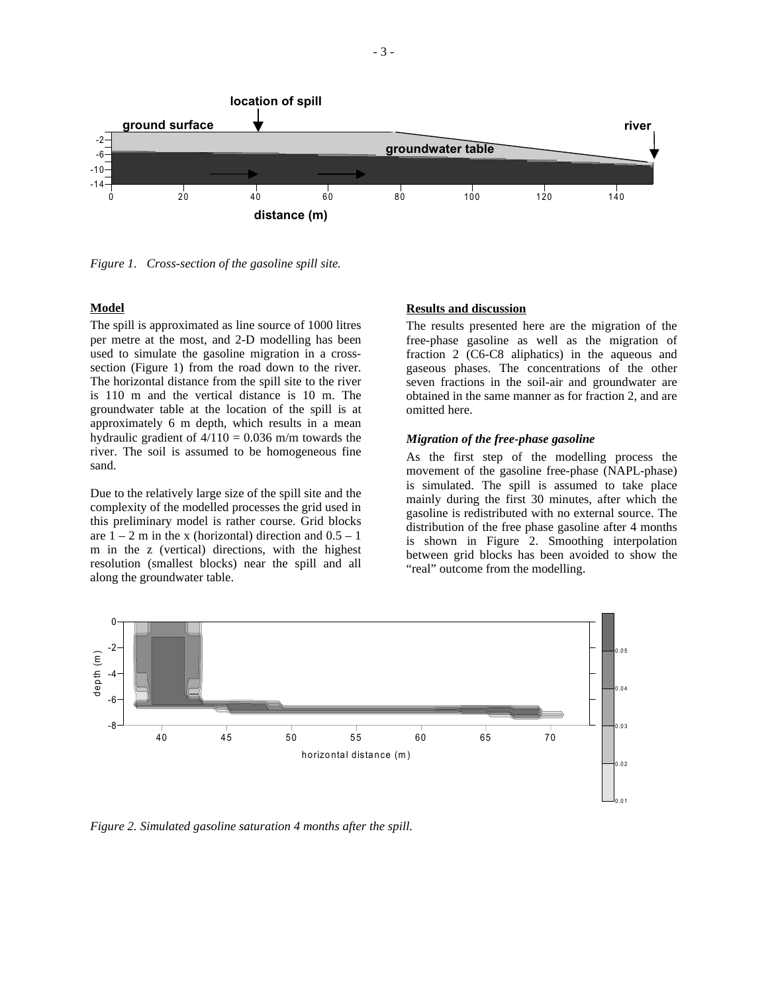

*Figure 1. Cross-section of the gasoline spill site.* 

### **Model**

The spill is approximated as line source of 1000 litres per metre at the most, and 2-D modelling has been used to simulate the gasoline migration in a crosssection (Figure 1) from the road down to the river. The horizontal distance from the spill site to the river is 110 m and the vertical distance is 10 m. The groundwater table at the location of the spill is at approximately 6 m depth, which results in a mean hydraulic gradient of  $4/110 = 0.036$  m/m towards the river. The soil is assumed to be homogeneous fine sand.

Due to the relatively large size of the spill site and the complexity of the modelled processes the grid used in this preliminary model is rather course. Grid blocks are  $1 - 2$  m in the x (horizontal) direction and  $0.5 - 1$ m in the z (vertical) directions, with the highest resolution (smallest blocks) near the spill and all along the groundwater table.

### **Results and discussion**

The results presented here are the migration of the free-phase gasoline as well as the migration of fraction 2 (C6-C8 aliphatics) in the aqueous and gaseous phases. The concentrations of the other seven fractions in the soil-air and groundwater are obtained in the same manner as for fraction 2, and are omitted here.

#### *Migration of the free-phase gasoline*

As the first step of the modelling process the movement of the gasoline free-phase (NAPL-phase) is simulated. The spill is assumed to take place mainly during the first 30 minutes, after which the gasoline is redistributed with no external source. The distribution of the free phase gasoline after 4 months is shown in Figure 2. Smoothing interpolation between grid blocks has been avoided to show the "real" outcome from the modelling.



*Figure 2. Simulated gasoline saturation 4 months after the spill.*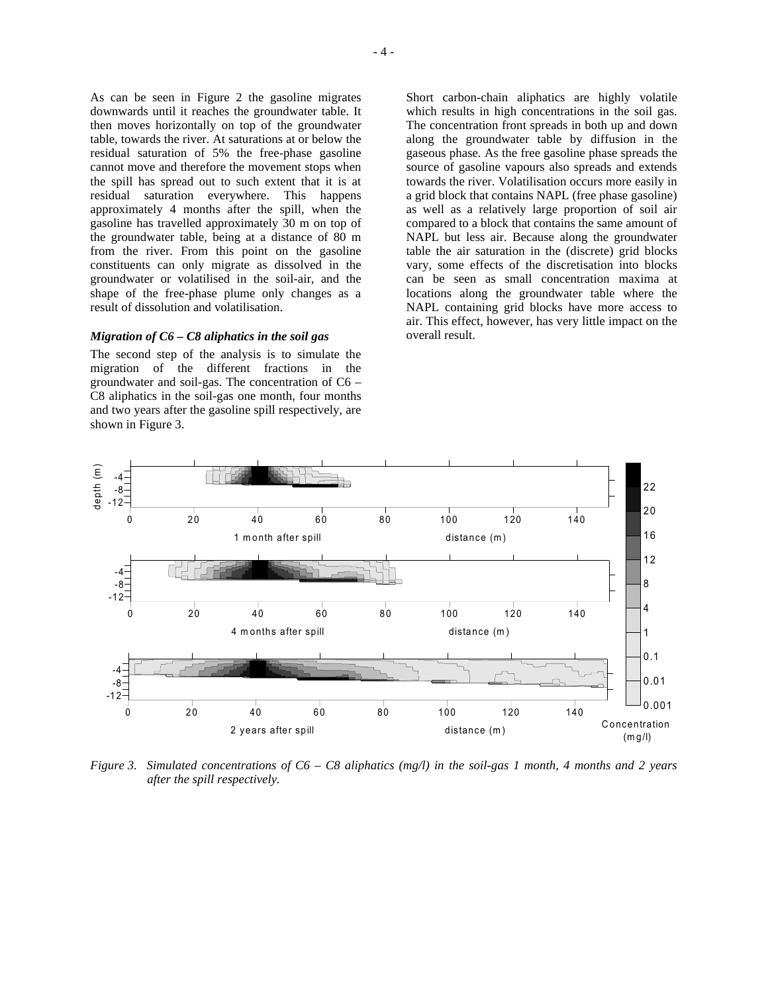As can be seen in Figure 2 the gasoline migrates downwards until it reaches the groundwater table. It then moves horizontally on top of the groundwater table, towards the river. At saturations at or below the residual saturation of 5% the free-phase gasoline cannot move and therefore the movement stops when the spill has spread out to such extent that it is at residual saturation everywhere. This happens approximately 4 months after the spill, when the gasoline has travelled approximately 30 m on top of the groundwater table, being at a distance of 80 m from the river. From this point on the gasoline constituents can only migrate as dissolved in the groundwater or volatilised in the soil-air, and the shape of the free-phase plume only changes as a result of dissolution and volatilisation.

### *Migration of C6 – C8 aliphatics in the soil gas*

The second step of the analysis is to simulate the migration of the different fractions in the groundwater and soil-gas. The concentration of C6 – C8 aliphatics in the soil-gas one month, four months and two years after the gasoline spill respectively, are shown in Figure 3.

Short carbon-chain aliphatics are highly volatile which results in high concentrations in the soil gas. The concentration front spreads in both up and down along the groundwater table by diffusion in the gaseous phase. As the free gasoline phase spreads the source of gasoline vapours also spreads and extends towards the river. Volatilisation occurs more easily in a grid block that contains NAPL (free phase gasoline) as well as a relatively large proportion of soil air compared to a block that contains the same amount of NAPL but less air. Because along the groundwater table the air saturation in the (discrete) grid blocks vary, some effects of the discretisation into blocks can be seen as small concentration maxima at locations along the groundwater table where the NAPL containing grid blocks have more access to air. This effect, however, has very little impact on the overall result.



*Figure 3. Simulated concentrations of C6 – C8 aliphatics (mg/l) in the soil-gas 1 month, 4 months and 2 years after the spill respectively.*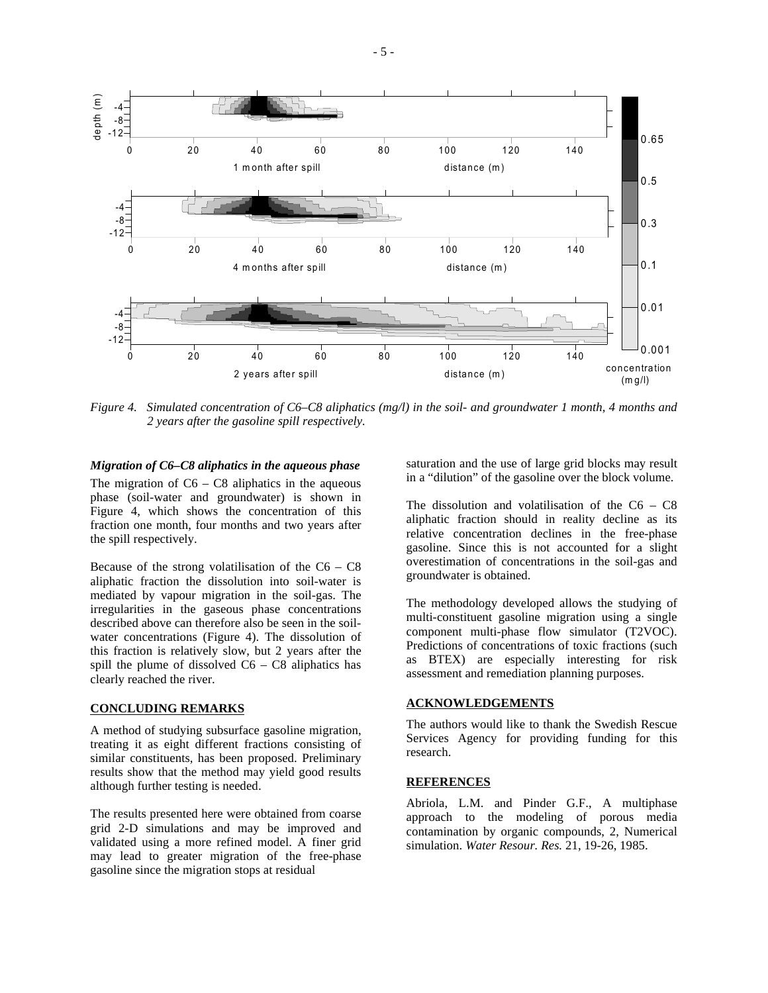

*Figure 4. Simulated concentration of C6–C8 aliphatics (mg/l) in the soil- and groundwater 1 month, 4 months and 2 years after the gasoline spill respectively.* 

*Migration of C6–C8 aliphatics in the aqueous phase* 

The migration of  $C6 - C8$  aliphatics in the aqueous phase (soil-water and groundwater) is shown in Figure 4, which shows the concentration of this fraction one month, four months and two years after the spill respectively.

Because of the strong volatilisation of the  $C6 - C8$ aliphatic fraction the dissolution into soil-water is mediated by vapour migration in the soil-gas. The irregularities in the gaseous phase concentrations described above can therefore also be seen in the soilwater concentrations (Figure 4). The dissolution of this fraction is relatively slow, but 2 years after the spill the plume of dissolved  $C6 - C8$  aliphatics has clearly reached the river.

#### **CONCLUDING REMARKS**

A method of studying subsurface gasoline migration, treating it as eight different fractions consisting of similar constituents, has been proposed. Preliminary results show that the method may yield good results although further testing is needed.

The results presented here were obtained from coarse grid 2-D simulations and may be improved and validated using a more refined model. A finer grid may lead to greater migration of the free-phase gasoline since the migration stops at residual

saturation and the use of large grid blocks may result in a "dilution" of the gasoline over the block volume.

The dissolution and volatilisation of the  $C6 - C8$ aliphatic fraction should in reality decline as its relative concentration declines in the free-phase gasoline. Since this is not accounted for a slight overestimation of concentrations in the soil-gas and groundwater is obtained.

The methodology developed allows the studying of multi-constituent gasoline migration using a single component multi-phase flow simulator (T2VOC). Predictions of concentrations of toxic fractions (such as BTEX) are especially interesting for risk assessment and remediation planning purposes.

## **ACKNOWLEDGEMENTS**

The authors would like to thank the Swedish Rescue Services Agency for providing funding for this research.

#### **REFERENCES**

Abriola, L.M. and Pinder G.F., A multiphase approach to the modeling of porous media contamination by organic compounds, 2, Numerical simulation. *Water Resour. Res.* 21, 19-26, 1985.